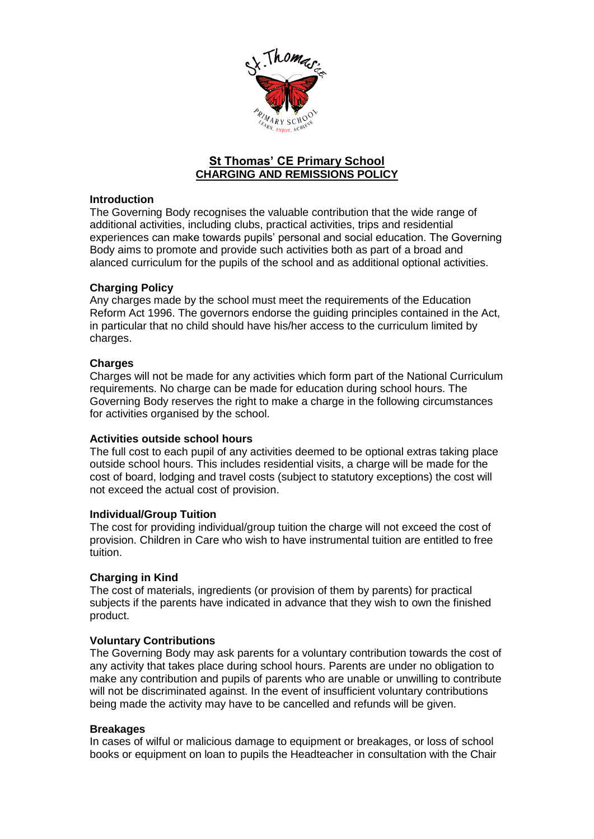

# **St Thomas' CE Primary School CHARGING AND REMISSIONS POLICY**

## **Introduction**

The Governing Body recognises the valuable contribution that the wide range of additional activities, including clubs, practical activities, trips and residential experiences can make towards pupils' personal and social education. The Governing Body aims to promote and provide such activities both as part of a broad and alanced curriculum for the pupils of the school and as additional optional activities.

### **Charging Policy**

Any charges made by the school must meet the requirements of the Education Reform Act 1996. The governors endorse the guiding principles contained in the Act, in particular that no child should have his/her access to the curriculum limited by charges.

### **Charges**

Charges will not be made for any activities which form part of the National Curriculum requirements. No charge can be made for education during school hours. The Governing Body reserves the right to make a charge in the following circumstances for activities organised by the school.

## **Activities outside school hours**

The full cost to each pupil of any activities deemed to be optional extras taking place outside school hours. This includes residential visits, a charge will be made for the cost of board, lodging and travel costs (subject to statutory exceptions) the cost will not exceed the actual cost of provision.

#### **Individual/Group Tuition**

The cost for providing individual/group tuition the charge will not exceed the cost of provision. Children in Care who wish to have instrumental tuition are entitled to free tuition.

## **Charging in Kind**

The cost of materials, ingredients (or provision of them by parents) for practical subjects if the parents have indicated in advance that they wish to own the finished product.

## **Voluntary Contributions**

The Governing Body may ask parents for a voluntary contribution towards the cost of any activity that takes place during school hours. Parents are under no obligation to make any contribution and pupils of parents who are unable or unwilling to contribute will not be discriminated against. In the event of insufficient voluntary contributions being made the activity may have to be cancelled and refunds will be given.

#### **Breakages**

In cases of wilful or malicious damage to equipment or breakages, or loss of school books or equipment on loan to pupils the Headteacher in consultation with the Chair